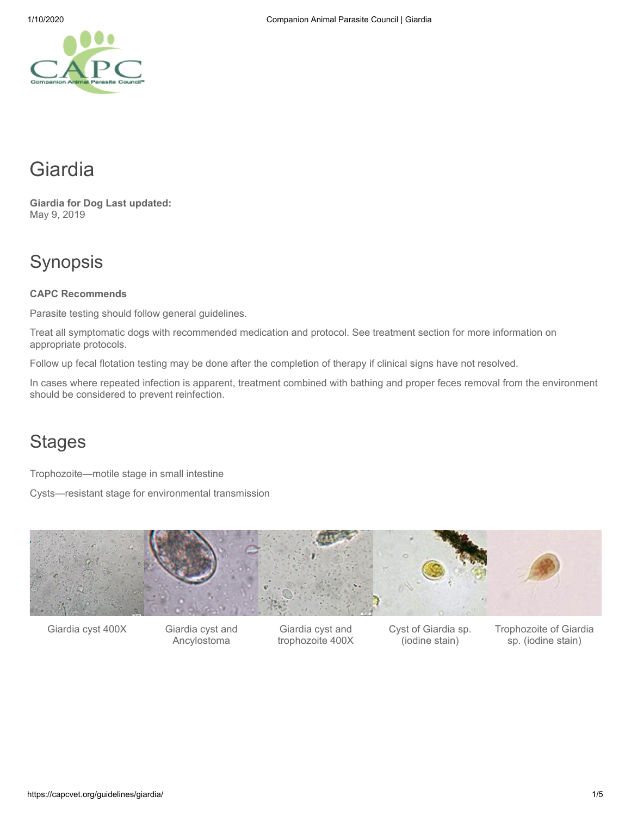# Giardia

**Giardia for Dog Last updated:** May 9, 2019

# Synopsis

#### **CAPC Recommends**

Parasite testing should follow general guidelines.

Treat all symptomatic dogs with recommended medication and protocol. See treatment section for more information on appropriate protocols.

Follow up fecal flotation testing may be done after the completion of therapy if clinical signs have not resolved.

In cases where repeated infection is apparent, treatment combined with bathing and proper feces removal from the environment should be considered to prevent reinfection.

# **Stages**

Trophozoite—motile stage in small intestine

Cysts—resistant stage for environmental transmission



Giardia cyst 400X Giardia cyst and

Ancylostoma

Giardia cyst and trophozoite 400X Cyst of Giardia sp. (iodine stain)

Trophozoite of Giardia sp. (iodine stain)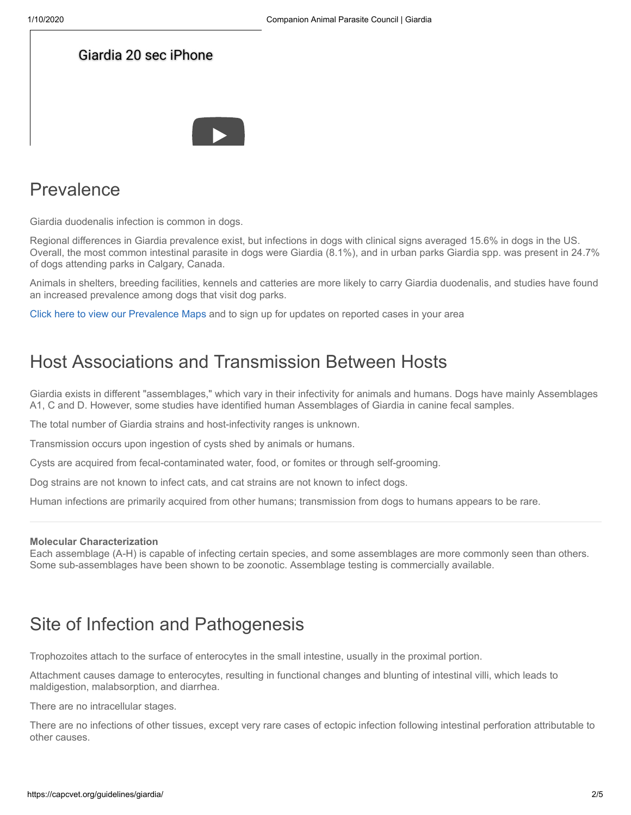| Giardia 20 sec iPhone |  |
|-----------------------|--|
|                       |  |
|                       |  |

# Prevalence

Giardia duodenalis infection is common in dogs.

Regional differences in Giardia prevalence exist, but infections in dogs with clinical signs averaged 15.6% in dogs in the US. Overall, the most common intestinal parasite in dogs were Giardia (8.1%), and in urban parks Giardia spp. was present in 24.7% of dogs attending parks in Calgary, Canada.

Animals in shelters, breeding facilities, kennels and catteries are more likely to carry Giardia duodenalis, and studies have found an increased prevalence among dogs that visit dog parks.

[Click here to view our Prevalence Maps](https://capcvet.org/maps/) and to sign up for updates on reported cases in your area

## Host Associations and Transmission Between Hosts

Giardia exists in different "assemblages," which vary in their infectivity for animals and humans. Dogs have mainly Assemblages A1, C and D. However, some studies have identified human Assemblages of Giardia in canine fecal samples.

The total number of Giardia strains and host-infectivity ranges is unknown.

Transmission occurs upon ingestion of cysts shed by animals or humans.

Cysts are acquired from fecal-contaminated water, food, or fomites or through self-grooming.

Dog strains are not known to infect cats, and cat strains are not known to infect dogs.

Human infections are primarily acquired from other humans; transmission from dogs to humans appears to be rare.

#### **Molecular Characterization**

Each assemblage (A-H) is capable of infecting certain species, and some assemblages are more commonly seen than others. Some sub-assemblages have been shown to be zoonotic. Assemblage testing is commercially available.

## Site of Infection and Pathogenesis

Trophozoites attach to the surface of enterocytes in the small intestine, usually in the proximal portion.

Attachment causes damage to enterocytes, resulting in functional changes and blunting of intestinal villi, which leads to maldigestion, malabsorption, and diarrhea.

There are no intracellular stages.

There are no infections of other tissues, except very rare cases of ectopic infection following intestinal perforation attributable to other causes.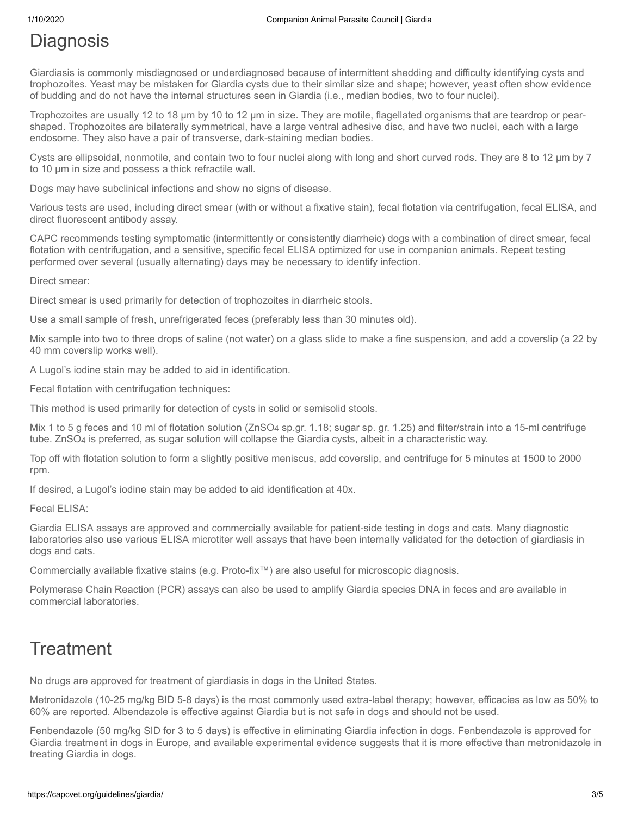## **Diagnosis**

Giardiasis is commonly misdiagnosed or underdiagnosed because of intermittent shedding and difficulty identifying cysts and trophozoites. Yeast may be mistaken for Giardia cysts due to their similar size and shape; however, yeast often show evidence of budding and do not have the internal structures seen in Giardia (i.e., median bodies, two to four nuclei).

Trophozoites are usually 12 to 18 µm by 10 to 12 µm in size. They are motile, flagellated organisms that are teardrop or pearshaped. Trophozoites are bilaterally symmetrical, have a large ventral adhesive disc, and have two nuclei, each with a large endosome. They also have a pair of transverse, dark-staining median bodies.

Cysts are ellipsoidal, nonmotile, and contain two to four nuclei along with long and short curved rods. They are 8 to 12 µm by 7 to 10 µm in size and possess a thick refractile wall.

Dogs may have subclinical infections and show no signs of disease.

Various tests are used, including direct smear (with or without a fixative stain), fecal flotation via centrifugation, fecal ELISA, and direct fluorescent antibody assay.

CAPC recommends testing symptomatic (intermittently or consistently diarrheic) dogs with a combination of direct smear, fecal flotation with centrifugation, and a sensitive, specific fecal ELISA optimized for use in companion animals. Repeat testing performed over several (usually alternating) days may be necessary to identify infection.

Direct smear:

Direct smear is used primarily for detection of trophozoites in diarrheic stools.

Use a small sample of fresh, unrefrigerated feces (preferably less than 30 minutes old).

Mix sample into two to three drops of saline (not water) on a glass slide to make a fine suspension, and add a coverslip (a 22 by 40 mm coverslip works well).

A Lugol's iodine stain may be added to aid in identification.

Fecal flotation with centrifugation techniques:

This method is used primarily for detection of cysts in solid or semisolid stools.

Mix 1 to 5 g feces and 10 ml of flotation solution (ZnSO4 sp.gr. 1.18; sugar sp. gr. 1.25) and filter/strain into a 15-ml centrifuge tube. ZnSO4 is preferred, as sugar solution will collapse the Giardia cysts, albeit in a characteristic way.

Top off with flotation solution to form a slightly positive meniscus, add coverslip, and centrifuge for 5 minutes at 1500 to 2000 rpm.

If desired, a Lugol's iodine stain may be added to aid identification at 40x.

Fecal ELISA:

Giardia ELISA assays are approved and commercially available for patient-side testing in dogs and cats. Many diagnostic laboratories also use various ELISA microtiter well assays that have been internally validated for the detection of giardiasis in dogs and cats.

Commercially available fixative stains (e.g. Proto-fix™) are also useful for microscopic diagnosis.

Polymerase Chain Reaction (PCR) assays can also be used to amplify Giardia species DNA in feces and are available in commercial laboratories.

## **Treatment**

No drugs are approved for treatment of giardiasis in dogs in the United States.

Metronidazole (10-25 mg/kg BID 5-8 days) is the most commonly used extra-label therapy; however, efficacies as low as 50% to 60% are reported. Albendazole is effective against Giardia but is not safe in dogs and should not be used.

Fenbendazole (50 mg/kg SID for 3 to 5 days) is effective in eliminating Giardia infection in dogs. Fenbendazole is approved for Giardia treatment in dogs in Europe, and available experimental evidence suggests that it is more effective than metronidazole in treating Giardia in dogs.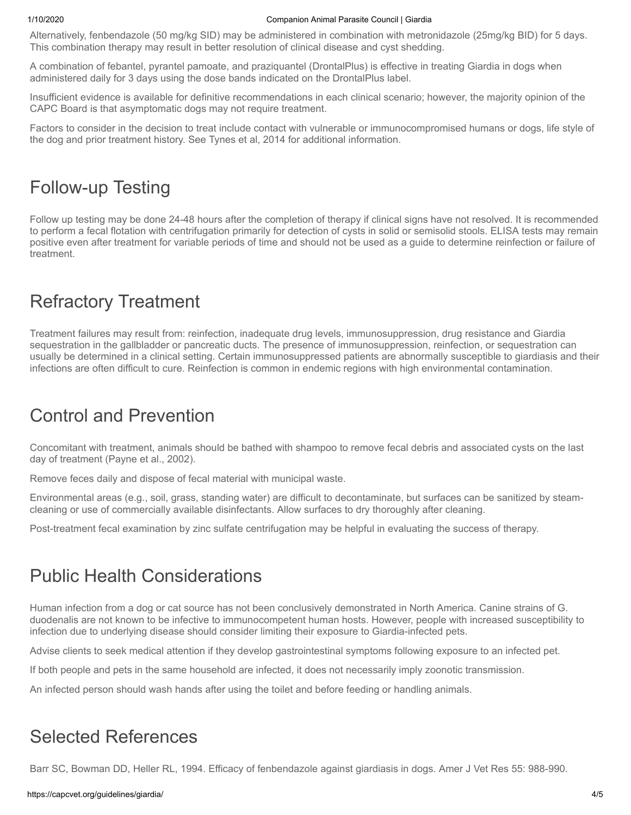#### 1/10/2020 Companion Animal Parasite Council | Giardia

Alternatively, fenbendazole (50 mg/kg SID) may be administered in combination with metronidazole (25mg/kg BID) for 5 days. This combination therapy may result in better resolution of clinical disease and cyst shedding.

A combination of febantel, pyrantel pamoate, and praziquantel (DrontalPlus) is effective in treating Giardia in dogs when administered daily for 3 days using the dose bands indicated on the DrontalPlus label.

Insufficient evidence is available for definitive recommendations in each clinical scenario; however, the majority opinion of the CAPC Board is that asymptomatic dogs may not require treatment.

Factors to consider in the decision to treat include contact with vulnerable or immunocompromised humans or dogs, life style of the dog and prior treatment history. See Tynes et al, 2014 for additional information.

# Follow-up Testing

Follow up testing may be done 24-48 hours after the completion of therapy if clinical signs have not resolved. It is recommended to perform a fecal flotation with centrifugation primarily for detection of cysts in solid or semisolid stools. ELISA tests may remain positive even after treatment for variable periods of time and should not be used as a guide to determine reinfection or failure of treatment.

# Refractory Treatment

Treatment failures may result from: reinfection, inadequate drug levels, immunosuppression, drug resistance and Giardia sequestration in the gallbladder or pancreatic ducts. The presence of immunosuppression, reinfection, or sequestration can usually be determined in a clinical setting. Certain immunosuppressed patients are abnormally susceptible to giardiasis and their infections are often difficult to cure. Reinfection is common in endemic regions with high environmental contamination.

# Control and Prevention

Concomitant with treatment, animals should be bathed with shampoo to remove fecal debris and associated cysts on the last day of treatment (Payne et al., 2002).

Remove feces daily and dispose of fecal material with municipal waste.

Environmental areas (e.g., soil, grass, standing water) are difficult to decontaminate, but surfaces can be sanitized by steamcleaning or use of commercially available disinfectants. Allow surfaces to dry thoroughly after cleaning.

Post-treatment fecal examination by zinc sulfate centrifugation may be helpful in evaluating the success of therapy.

# Public Health Considerations

Human infection from a dog or cat source has not been conclusively demonstrated in North America. Canine strains of G. duodenalis are not known to be infective to immunocompetent human hosts. However, people with increased susceptibility to infection due to underlying disease should consider limiting their exposure to Giardia-infected pets.

Advise clients to seek medical attention if they develop gastrointestinal symptoms following exposure to an infected pet.

If both people and pets in the same household are infected, it does not necessarily imply zoonotic transmission.

An infected person should wash hands after using the toilet and before feeding or handling animals.

## Selected References

Barr SC, Bowman DD, Heller RL, 1994. Efficacy of fenbendazole against giardiasis in dogs. Amer J Vet Res 55: 988-990.